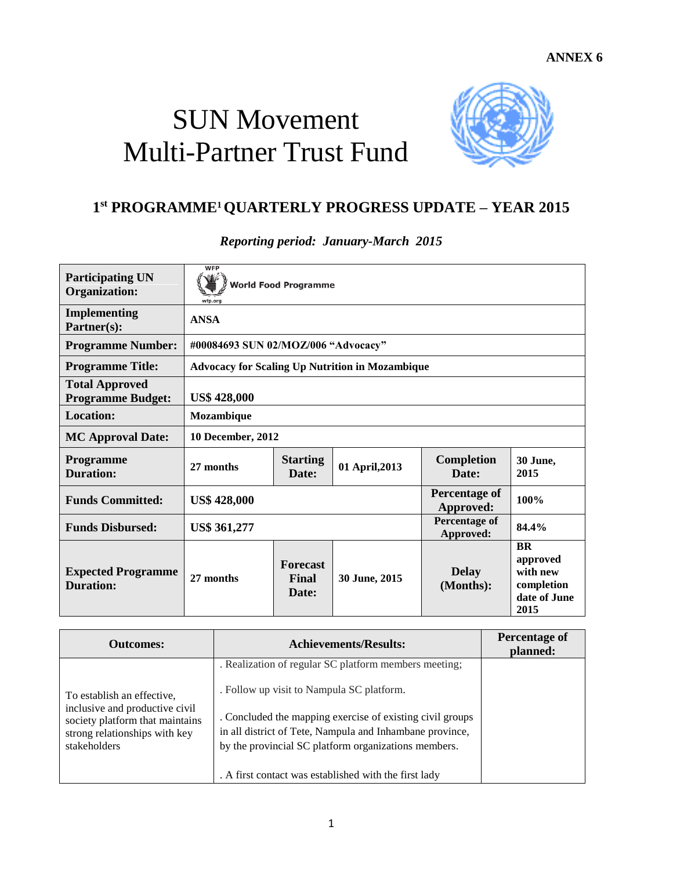## SUN Movement Multi-Partner Trust Fund



## **1 st PROGRAMME1 QUARTERLY PROGRESS UPDATE – YEAR 2015**

*Reporting period: January-March 2015*

| <b>Participating UN</b><br><b>Organization:</b>   | <b>WFP</b><br><b>World Food Programme</b><br>wfp.org   |                                   |                |                                   |                                                                         |  |
|---------------------------------------------------|--------------------------------------------------------|-----------------------------------|----------------|-----------------------------------|-------------------------------------------------------------------------|--|
| <b>Implementing</b><br>Partner(s):                | <b>ANSA</b>                                            |                                   |                |                                   |                                                                         |  |
| <b>Programme Number:</b>                          | #00084693 SUN 02/MOZ/006 "Advocacy"                    |                                   |                |                                   |                                                                         |  |
| <b>Programme Title:</b>                           | <b>Advocacy for Scaling Up Nutrition in Mozambique</b> |                                   |                |                                   |                                                                         |  |
| <b>Total Approved</b><br><b>Programme Budget:</b> | <b>US\$ 428,000</b>                                    |                                   |                |                                   |                                                                         |  |
| Location:                                         | Mozambique                                             |                                   |                |                                   |                                                                         |  |
| <b>MC Approval Date:</b>                          | 10 December, 2012                                      |                                   |                |                                   |                                                                         |  |
| Programme<br><b>Duration:</b>                     | 27 months                                              | <b>Starting</b><br>Date:          | 01 April, 2013 | <b>Completion</b><br>Date:        | 30 June,<br>2015                                                        |  |
| <b>Funds Committed:</b>                           | <b>US\$ 428,000</b>                                    |                                   |                | <b>Percentage of</b><br>Approved: | 100%                                                                    |  |
| <b>Funds Disbursed:</b>                           | <b>US\$ 361,277</b>                                    |                                   |                | Percentage of<br>Approved:        | 84.4%                                                                   |  |
| <b>Expected Programme</b><br><b>Duration:</b>     | 27 months                                              | <b>Forecast</b><br>Final<br>Date: | 30 June, 2015  | <b>Delay</b><br>(Months):         | <b>BR</b><br>approved<br>with new<br>completion<br>date of June<br>2015 |  |

| <b>Outcomes:</b>                                                                                                                                 | <b>Achievements/Results:</b>                                                                                                                                                                                                                                                        | Percentage of<br>planned: |
|--------------------------------------------------------------------------------------------------------------------------------------------------|-------------------------------------------------------------------------------------------------------------------------------------------------------------------------------------------------------------------------------------------------------------------------------------|---------------------------|
| To establish an effective.<br>inclusive and productive civil<br>society platform that maintains<br>strong relationships with key<br>stakeholders | . Realization of regular SC platform members meeting;<br>. Follow up visit to Nampula SC platform.<br>. Concluded the mapping exercise of existing civil groups<br>in all district of Tete, Nampula and Inhambane province,<br>by the provincial SC platform organizations members. |                           |
|                                                                                                                                                  | . A first contact was established with the first lady                                                                                                                                                                                                                               |                           |